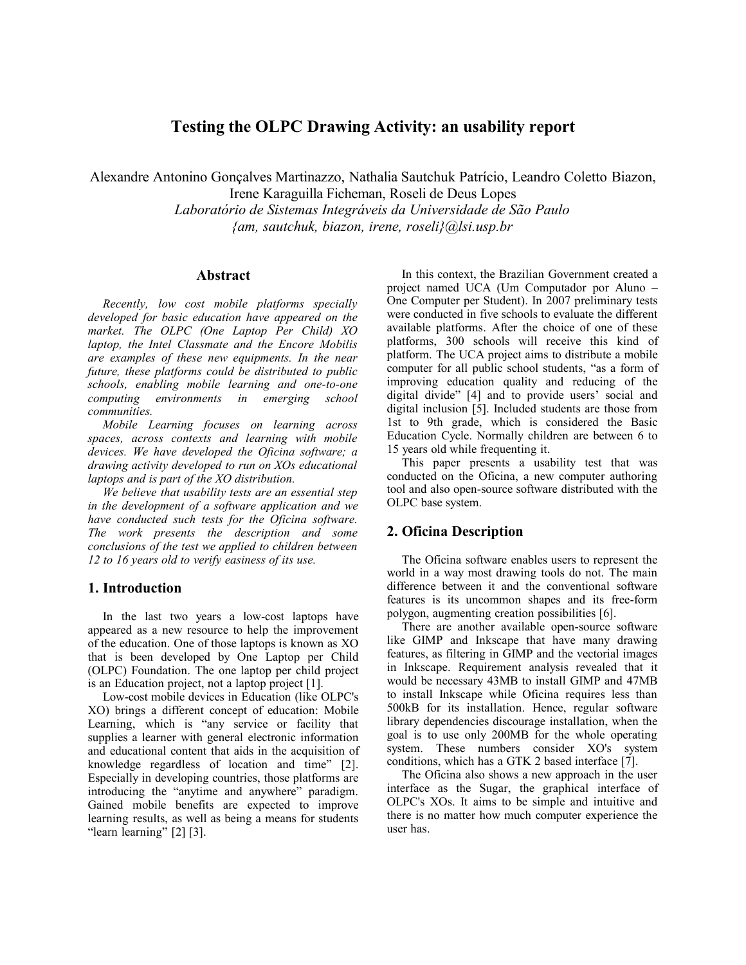# **Testing the OLPC Drawing Activity: an usability report**

Alexandre Antonino Gonçalves Martinazzo, Nathalia Sautchuk Patrício, Leandro Coletto Biazon, Irene Karaguilla Ficheman, Roseli de Deus Lopes *Laboratório de Sistemas Integráveis da Universidade de São Paulo {am, sautchuk, biazon, irene, roseli}@lsi.usp.br*

#### **Abstract**

*Recently, low cost mobile platforms specially developed for basic education have appeared on the market. The OLPC (One Laptop Per Child) XO laptop, the Intel Classmate and the Encore Mobilis are examples of these new equipments. In the near future, these platforms could be distributed to public schools, enabling mobile learning and one-to-one computing environments in emerging school communities.* 

*Mobile Learning focuses on learning across spaces, across contexts and learning with mobile devices. We have developed the Oficina software; a drawing activity developed to run on XOs educational laptops and is part of the XO distribution.*

*We believe that usability tests are an essential step in the development of a software application and we have conducted such tests for the Oficina software. The work presents the description and some conclusions of the test we applied to children between 12 to 16 years old to verify easiness of its use.*

### **1. Introduction**

In the last two years a low-cost laptops have appeared as a new resource to help the improvement of the education. One of those laptops is known as XO that is been developed by One Laptop per Child (OLPC) Foundation. The one laptop per child project is an Education project, not a laptop project [1].

Low-cost mobile devices in Education (like OLPC's XO) brings a different concept of education: Mobile Learning, which is "any service or facility that supplies a learner with general electronic information and educational content that aids in the acquisition of knowledge regardless of location and time" [2]. Especially in developing countries, those platforms are introducing the "anytime and anywhere" paradigm. Gained mobile benefits are expected to improve learning results, as well as being a means for students "learn learning" [2] [3].

In this context, the Brazilian Government created a project named UCA (Um Computador por Aluno – One Computer per Student). In 2007 preliminary tests were conducted in five schools to evaluate the different available platforms. After the choice of one of these platforms, 300 schools will receive this kind of platform. The UCA project aims to distribute a mobile computer for all public school students, "as a form of improving education quality and reducing of the digital divide" [4] and to provide users' social and digital inclusion [5]. Included students are those from 1st to 9th grade, which is considered the Basic Education Cycle. Normally children are between 6 to 15 years old while frequenting it.

This paper presents a usability test that was conducted on the Oficina, a new computer authoring tool and also open-source software distributed with the OLPC base system.

## **2. Oficina Description**

The Oficina software enables users to represent the world in a way most drawing tools do not. The main difference between it and the conventional software features is its uncommon shapes and its free-form polygon, augmenting creation possibilities [6].

There are another available open-source software like GIMP and Inkscape that have many drawing features, as filtering in GIMP and the vectorial images in Inkscape. Requirement analysis revealed that it would be necessary 43MB to install GIMP and 47MB to install Inkscape while Oficina requires less than 500kB for its installation. Hence, regular software library dependencies discourage installation, when the goal is to use only 200MB for the whole operating system. These numbers consider XO's system conditions, which has a GTK 2 based interface [7].

The Oficina also shows a new approach in the user interface as the Sugar, the graphical interface of OLPC's XOs. It aims to be simple and intuitive and there is no matter how much computer experience the user has.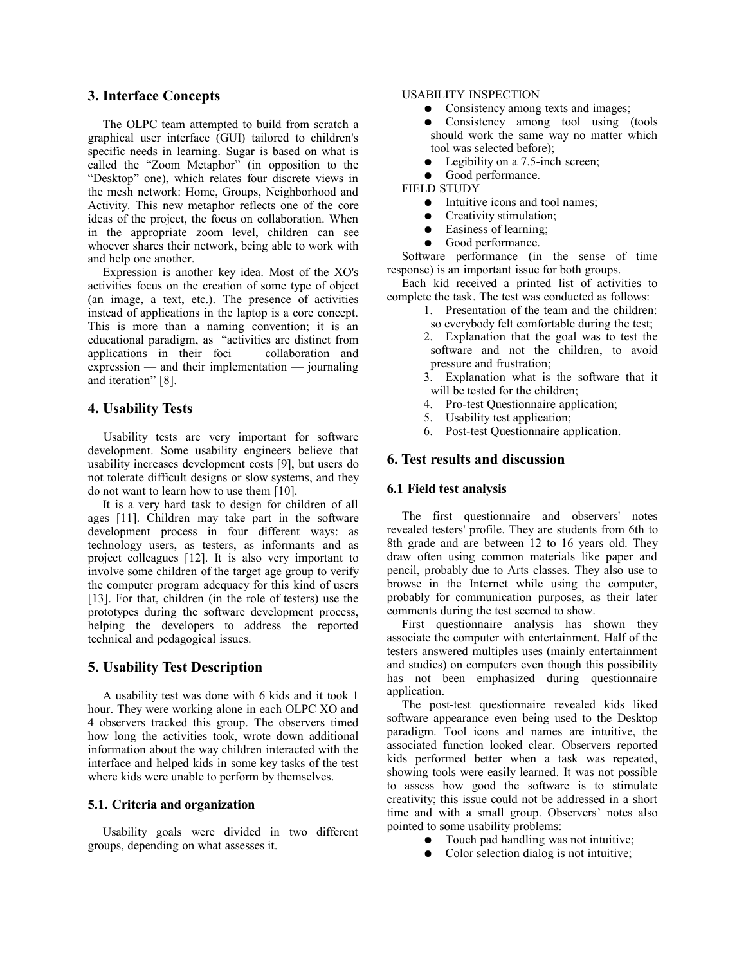### **3. Interface Concepts**

The OLPC team attempted to build from scratch a graphical user interface (GUI) tailored to children's specific needs in learning. Sugar is based on what is called the "Zoom Metaphor" (in opposition to the "Desktop" one), which relates four discrete views in the mesh network: Home, Groups, Neighborhood and Activity. This new metaphor reflects one of the core ideas of the project, the focus on collaboration. When in the appropriate zoom level, children can see whoever shares their network, being able to work with and help one another.

Expression is another key idea. Most of the XO's activities focus on the creation of some type of object (an image, a text, etc.). The presence of activities instead of applications in the laptop is a core concept. This is more than a naming convention; it is an educational paradigm, as "activities are distinct from applications in their foci — collaboration and expression — and their implementation — journaling and iteration" [8].

## **4. Usability Tests**

Usability tests are very important for software development. Some usability engineers believe that usability increases development costs [9], but users do not tolerate difficult designs or slow systems, and they do not want to learn how to use them [10].

It is a very hard task to design for children of all ages [11]. Children may take part in the software development process in four different ways: as technology users, as testers, as informants and as project colleagues [12]. It is also very important to involve some children of the target age group to verify the computer program adequacy for this kind of users [13]. For that, children (in the role of testers) use the prototypes during the software development process, helping the developers to address the reported technical and pedagogical issues.

#### **5. Usability Test Description**

A usability test was done with 6 kids and it took 1 hour. They were working alone in each OLPC XO and 4 observers tracked this group. The observers timed how long the activities took, wrote down additional information about the way children interacted with the interface and helped kids in some key tasks of the test where kids were unable to perform by themselves.

### **5.1. Criteria and organization**

Usability goals were divided in two different groups, depending on what assesses it.

### USABILITY INSPECTION

- Consistency among texts and images;
- Consistency among tool using (tools should work the same way no matter which tool was selected before);
- Legibility on a 7.5-inch screen;
- Good performance.
- FIELD STUDY
	- Intuitive icons and tool names;
	- **•** Creativity stimulation;
	- Easiness of learning;
	- Good performance.

Software performance (in the sense of time response) is an important issue for both groups.

Each kid received a printed list of activities to complete the task. The test was conducted as follows:

- 1. Presentation of the team and the children: so everybody felt comfortable during the test;
- 2. Explanation that the goal was to test the software and not the children, to avoid pressure and frustration;
- 3. Explanation what is the software that it will be tested for the children:
- 4. Pro-test Questionnaire application;
- 5. Usability test application;
- 6. Post-test Questionnaire application.

#### **6. Test results and discussion**

### **6.1 Field test analysis**

The first questionnaire and observers' notes revealed testers' profile. They are students from 6th to 8th grade and are between 12 to 16 years old. They draw often using common materials like paper and pencil, probably due to Arts classes. They also use to browse in the Internet while using the computer, probably for communication purposes, as their later comments during the test seemed to show.

First questionnaire analysis has shown they associate the computer with entertainment. Half of the testers answered multiples uses (mainly entertainment and studies) on computers even though this possibility has not been emphasized during questionnaire application.

The post-test questionnaire revealed kids liked software appearance even being used to the Desktop paradigm. Tool icons and names are intuitive, the associated function looked clear. Observers reported kids performed better when a task was repeated, showing tools were easily learned. It was not possible to assess how good the software is to stimulate creativity; this issue could not be addressed in a short time and with a small group. Observers' notes also pointed to some usability problems:

- Touch pad handling was not intuitive;
- Color selection dialog is not intuitive;